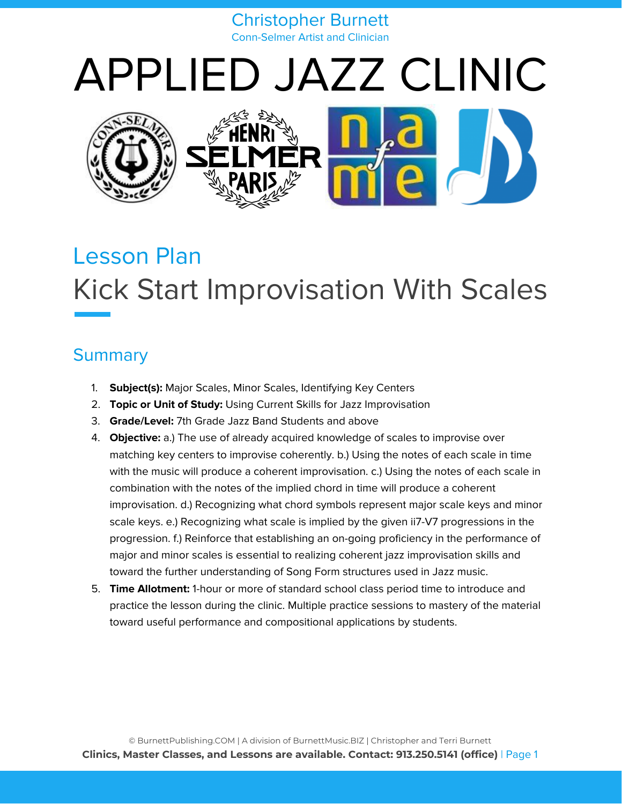#### Christopher Burnett Conn-Selmer Artist and Clinician

# APPLIED JAZZ CLINIC



# Lesson Plan Kick Start Improvisation With Scales

# **Summary**

- 1. **Subject(s):** Major Scales, Minor Scales, Identifying Key Centers
- 2. **Topic or Unit of Study:** Using Current Skills for Jazz Improvisation
- 3. **Grade/Level:** 7th Grade Jazz Band Students and above
- 4. **Objective:** a.) The use of already acquired knowledge of scales to improvise over matching key centers to improvise coherently. b.) Using the notes of each scale in time with the music will produce a coherent improvisation. c.) Using the notes of each scale in combination with the notes of the implied chord in time will produce a coherent improvisation. d.) Recognizing what chord symbols represent major scale keys and minor scale keys. e.) Recognizing what scale is implied by the given ii7-V7 progressions in the progression. f.) Reinforce that establishing an on-going proficiency in the performance of major and minor scales is essential to realizing coherent jazz improvisation skills and toward the further understanding of Song Form structures used in Jazz music.
- 5. **Time Allotment:** 1-hour or more of standard school class period time to introduce and practice the lesson during the clinic. Multiple practice sessions to mastery of the material toward useful performance and compositional applications by students.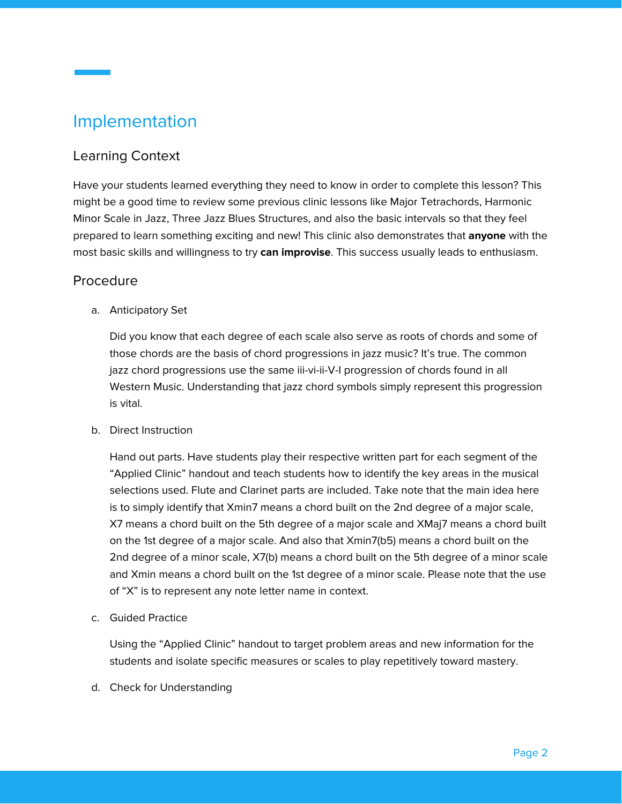# Implementation

#### Learning Context

Have your students learned everything they need to know in order to complete this lesson? This might be a good time to review some previous clinic lessons like Major Tetrachords, Harmonic Minor Scale in Jazz, Three Jazz Blues Structures, and also the basic intervals so that they feel prepared to learn something exciting and new! This clinic also demonstrates that **anyone** with the most basic skills and willingness to try **can improvise**. This success usually leads to enthusiasm.

#### Procedure

a. Anticipatory Set

Did you know that each degree of each scale also serve as roots of chords and some of those chords are the basis of chord progressions in jazz music? It's true. The common jazz chord progressions use the same iii-vi-ii-V-I progression of chords found in all Western Music. Understanding that jazz chord symbols simply represent this progression is vital.

b. Direct Instruction

Hand out parts. Have students play their respective written part for each segment of the "Applied Clinic" handout and teach students how to identify the key areas in the musical selections used. Flute and Clarinet parts are included. Take note that the main idea here is to simply identify that Xmin7 means a chord built on the 2nd degree of a major scale, X7 means a chord built on the 5th degree of a major scale and XMaj7 means a chord built on the 1st degree of a major scale. And also that Xmin7(b5) means a chord built on the 2nd degree of a minor scale, X7(b) means a chord built on the 5th degree of a minor scale and Xmin means a chord built on the 1st degree of a minor scale. Please note that the use of "X" is to represent any note letter name in context.

c. Guided Practice

Using the "Applied Clinic" handout to target problem areas and new information for the students and isolate specific measures or scales to play repetitively toward mastery.

d. Check for Understanding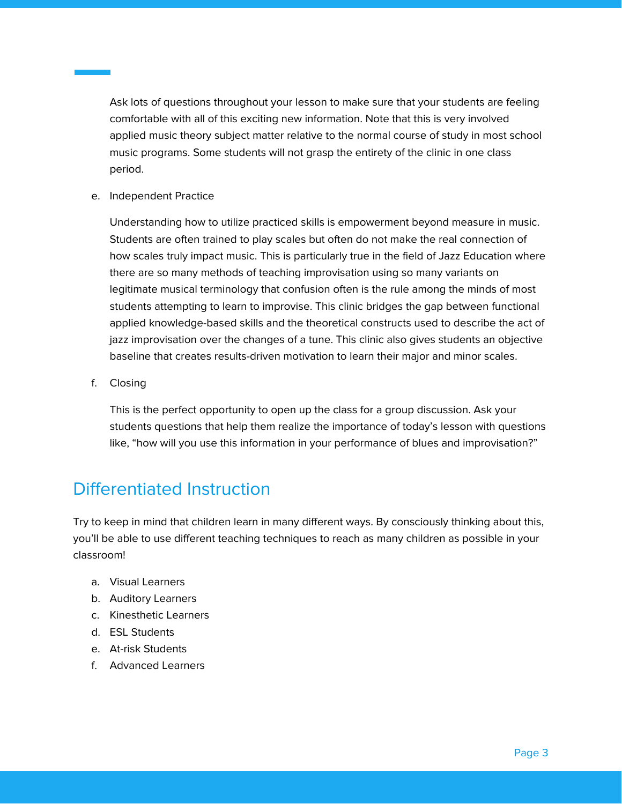Ask lots of questions throughout your lesson to make sure that your students are feeling comfortable with all of this exciting new information. Note that this is very involved applied music theory subject matter relative to the normal course of study in most school music programs. Some students will not grasp the entirety of the clinic in one class period.

e. Independent Practice

Understanding how to utilize practiced skills is empowerment beyond measure in music. Students are often trained to play scales but often do not make the real connection of how scales truly impact music. This is particularly true in the field of Jazz Education where there are so many methods of teaching improvisation using so many variants on legitimate musical terminology that confusion often is the rule among the minds of most students attempting to learn to improvise. This clinic bridges the gap between functional applied knowledge-based skills and the theoretical constructs used to describe the act of jazz improvisation over the changes of a tune. This clinic also gives students an objective baseline that creates results-driven motivation to learn their major and minor scales.

f. Closing

This is the perfect opportunity to open up the class for a group discussion. Ask your students questions that help them realize the importance of today's lesson with questions like, "how will you use this information in your performance of blues and improvisation?"

#### Differentiated Instruction

Try to keep in mind that children learn in many different ways. By consciously thinking about this, you'll be able to use different teaching techniques to reach as many children as possible in your classroom!

- a. Visual Learners
- b. Auditory Learners
- c. Kinesthetic Learners
- d. ESL Students
- e. At-risk Students
- f. Advanced Learners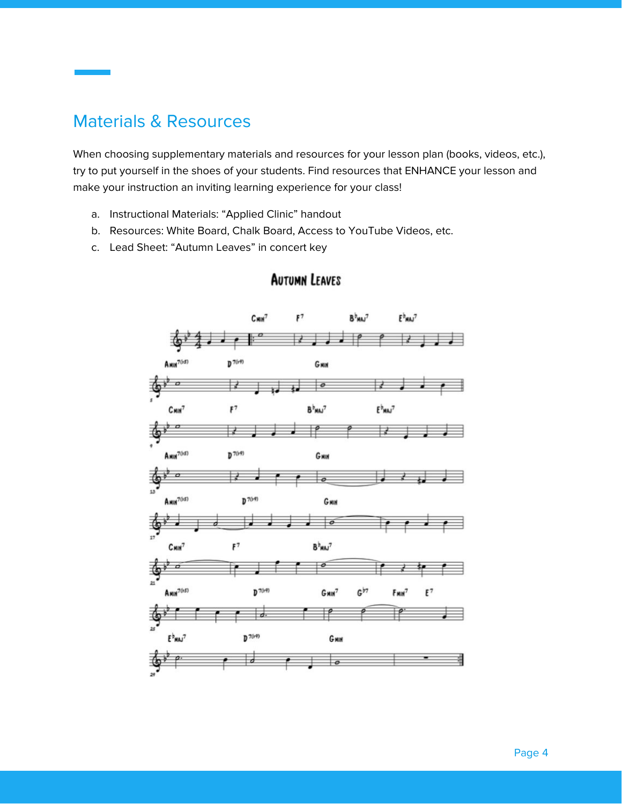#### Materials & Resources

When choosing supplementary materials and resources for your lesson plan (books, videos, etc.), try to put yourself in the shoes of your students. Find resources that ENHANCE your lesson and make your instruction an inviting learning experience for your class!

- a. Instructional Materials: "Applied Clinic" handout
- b. Resources: White Board, Chalk Board, Access to YouTube Videos, etc.
- c. Lead Sheet: "Autumn Leaves" in concert key



#### **AUTUMN LEAVES**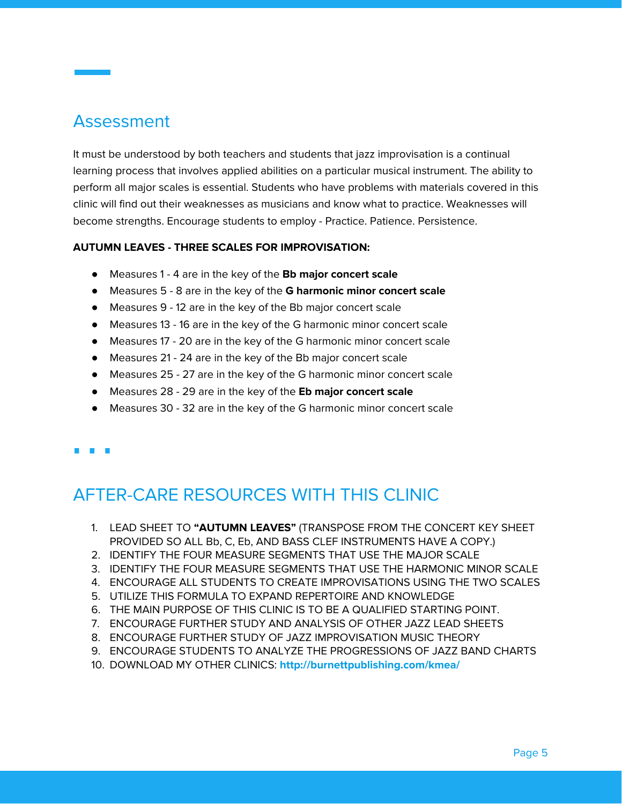## Assessment

It must be understood by both teachers and students that jazz improvisation is a continual learning process that involves applied abilities on a particular musical instrument. The ability to perform all major scales is essential. Students who have problems with materials covered in this clinic will find out their weaknesses as musicians and know what to practice. Weaknesses will become strengths. Encourage students to employ - Practice. Patience. Persistence.

#### **AUTUMN LEAVES - THREE SCALES FOR IMPROVISATION:**

- Measures 1 4 are in the key of the **Bb major concert scale**
- Measures 5 8 are in the key of the **G harmonic minor concert scale**
- Measures 9 12 are in the key of the Bb major concert scale
- Measures 13 16 are in the key of the G harmonic minor concert scale
- Measures 17 20 are in the key of the G harmonic minor concert scale
- Measures 21 24 are in the key of the Bb major concert scale
- Measures 25 27 are in the key of the G harmonic minor concert scale
- Measures 28 29 are in the key of the **Eb major concert scale**
- Measures 30 32 are in the key of the G harmonic minor concert scale
- 

# AFTER-CARE RESOURCES WITH THIS CLINIC

- 1. LEAD SHEET TO **"AUTUMN LEAVES"** (TRANSPOSE FROM THE CONCERT KEY SHEET PROVIDED SO ALL Bb, C, Eb, AND BASS CLEF INSTRUMENTS HAVE A COPY.)
- 2. IDENTIFY THE FOUR MEASURE SEGMENTS THAT USE THE MAJOR SCALE
- 3. IDENTIFY THE FOUR MEASURE SEGMENTS THAT USE THE HARMONIC MINOR SCALE
- 4. ENCOURAGE ALL STUDENTS TO CREATE IMPROVISATIONS USING THE TWO SCALES
- 5. UTILIZE THIS FORMULA TO EXPAND REPERTOIRE AND KNOWLEDGE
- 6. THE MAIN PURPOSE OF THIS CLINIC IS TO BE A QUALIFIED STARTING POINT.
- 7. ENCOURAGE FURTHER STUDY AND ANALYSIS OF OTHER JAZZ LEAD SHEETS
- 8. ENCOURAGE FURTHER STUDY OF JAZZ IMPROVISATION MUSIC THEORY
- 9. ENCOURAGE STUDENTS TO ANALYZE THE PROGRESSIONS OF JAZZ BAND CHARTS
- 10. DOWNLOAD MY OTHER CLINICS: **<http://burnettpublishing.com/kmea/>**